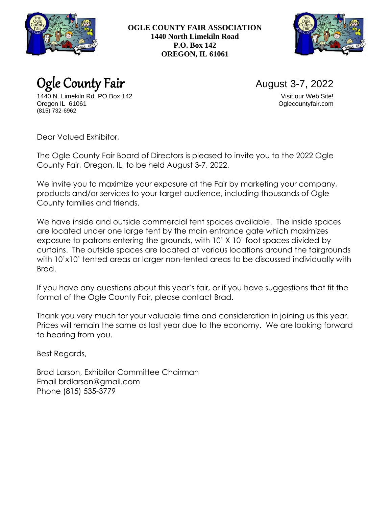

**OGLE COUNTY FAIR ASSOCIATION 1440 North Limekiln Road P.O. Box 142 OREGON, IL 61061**



Ogle County Fair August 3-7, 2022

1440 N. Limekiln Rd. PO Box 142 Visit our Web Site! Oregon IL 61061 Oglecountyfair.com (815) 732-6962

Dear Valued Exhibitor,

The Ogle County Fair Board of Directors is pleased to invite you to the 2022 Ogle County Fair, Oregon, IL, to be held August 3-7, 2022.

We invite you to maximize your exposure at the Fair by marketing your company, products and/or services to your target audience, including thousands of Ogle County families and friends.

We have inside and outside commercial tent spaces available. The inside spaces are located under one large tent by the main entrance gate which maximizes exposure to patrons entering the grounds, with 10' X 10' foot spaces divided by curtains. The outside spaces are located at various locations around the fairgrounds with 10'x10' tented areas or larger non-tented areas to be discussed individually with Brad.

If you have any questions about this year's fair, or if you have suggestions that fit the format of the Ogle County Fair, please contact Brad.

Thank you very much for your valuable time and consideration in joining us this year. Prices will remain the same as last year due to the economy. We are looking forward to hearing from you.

Best Regards,

Brad Larson, Exhibitor Committee Chairman Email brdlarson@gmail.com Phone (815) 535-3779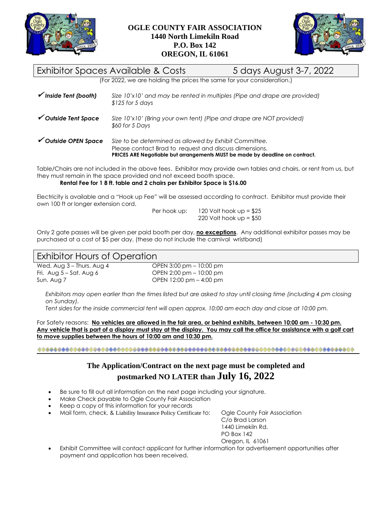



# Exhibitor Spaces Available & Costs 5 days August 3-7, 2022

(For 2022, we are holding the prices the same for your consideration.)

| $\checkmark$ Inside Tent (booth) | Size 10'x10' and may be rented in multiples (Pipe and drape are provided)<br>$$125$ for 5 days |
|----------------------------------|------------------------------------------------------------------------------------------------|
| $\checkmark$ Outside Tent Space  | Size 10'x10' (Bring your own tent) (Pipe and drape are NOT provided)<br>\$60 for 5 Days        |

|                      | PRICES ARE Negotiable but arrangements MUST be made by deadline on contract. |
|----------------------|------------------------------------------------------------------------------|
|                      | Please contact Brad to request and discuss dimensions.                       |
| ✔ Outside OPEN Space | Size to be determined as allowed by Exhibit Committee.                       |

Table/Chairs are not included in the above fees. Exhibitor may provide own tables and chairs, or rent from us, but they must remain in the space provided and not exceed booth space.

**Rental Fee for 1 8 ft. table and 2 chairs per Exhibitor Space is \$16.00**

Electricity is available and a "Hook up Fee" will be assessed according to contract. Exhibitor must provide their own 100 ft or longer extension cord.

Per hook up:  $120$  Volt hook up =  $$25$ 220 Volt hook  $up = $50$ 

Only 2 gate passes will be given per paid booth per day, **no exceptions**. Any additional exhibitor passes may be purchased at a cost of \$5 per day. (these do not include the carnival wristband)

## Exhibitor Hours of Operation

Wed. Aug 3 – Thurs. Aug 4 OPEN 3:00 pm – 10:00 pm Fri. Aug 5 – Sat. Aug 6 OPEN 2:00 pm – 10:00 pm Sun. Aug 7 OPEN 12:00 pm – 4:00 pm

*Exhibitors may open earlier than the times listed but are asked to stay until closing time (including 4 pm closing on Sunday).*

*Tent sides for the inside commercial tent will open approx. 10:00 am each day and close at 10:00 pm.*

For Safety reasons:**No vehicles are allowed in the fair area, or behind exhibits, between 10:00 am - 10:30 pm. Any vehicle that is part of a display must stay at the display. You may call the office for assistance with a golf cart to move supplies between the hours of 10:00 am and 10:30 pm.**

## **The Application/Contract on the next page must be completed and postmarked NO LATER than July 16, 2022**

- Be sure to fill out all information on the next page including your signature.
- Make Check payable to Ogle County Fair Association
- Keep a copy of this information for your records
- Mail form, check, & Liability Insurance Policy Certificate to: Ogle County Fair Association

C/o Brad Larson 1440 Limekiln Rd. PO Box 142 Oregon, IL 61061

• Exhibit Committee will contact applicant for further information for advertisement opportunities after payment and application has been received.